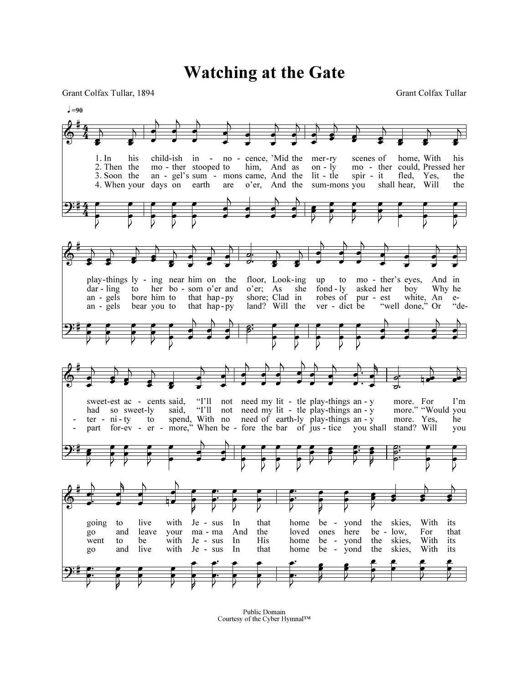Watching at the Gate

Grant Colfax Tullar, 1894 Grant Colfax Tullar



Public Domain Courtesy of the Cyber Hymnal™